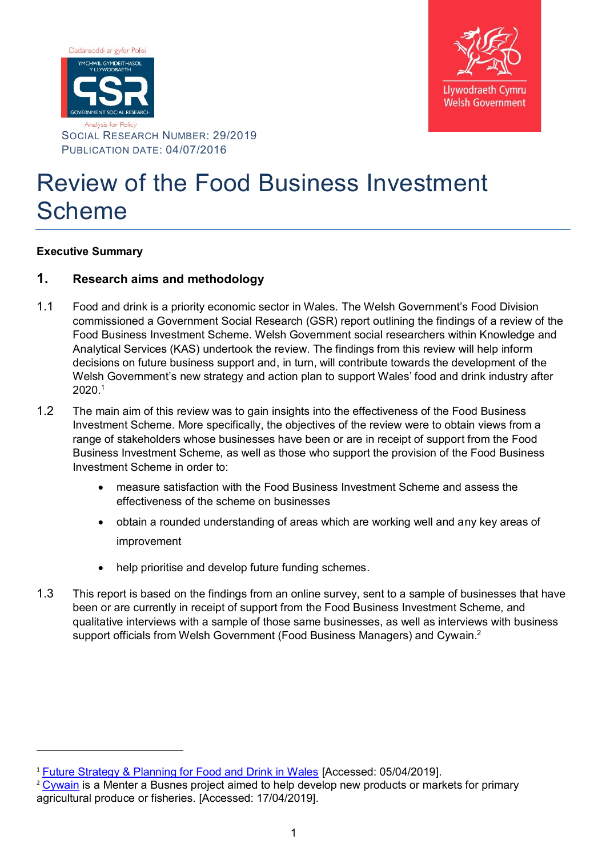



# Review of the Food Business Investment Scheme

#### **Executive Summary**

 $\overline{\phantom{a}}$ 

## **1. Research aims and methodology**

- 1.1 Food and drink is a priority economic sector in Wales. The Welsh Government's Food Division commissioned a Government Social Research (GSR) report outlining the findings of a review of the Food Business Investment Scheme. Welsh Government social researchers within Knowledge and Analytical Services (KAS) undertook the review. The findings from this review will help inform decisions on future business support and, in turn, will contribute towards the development of the Welsh Government's new strategy and action plan to support Wales' food and drink industry after 2020.<sup>1</sup>
- 1.2 The main aim of this review was to gain insights into the effectiveness of the Food Business Investment Scheme. More specifically, the objectives of the review were to obtain views from a range of stakeholders whose businesses have been or are in receipt of support from the Food Business Investment Scheme, as well as those who support the provision of the Food Business Investment Scheme in order to:
	- measure satisfaction with the Food Business Investment Scheme and assess the effectiveness of the scheme on businesses
	- obtain a rounded understanding of areas which are working well and any key areas of improvement
	- help prioritise and develop future funding schemes.
- 1.3 This report is based on the findings from an online survey, sent to a sample of businesses that have been or are currently in receipt of support from the Food Business Investment Scheme, and qualitative interviews with a sample of those same businesses, as well as interviews with business support officials from Welsh Government (Food Business Managers) and Cywain. $^2$

<sup>&</sup>lt;sup>1</sup> [Future Strategy & Planning for Food and Drink in Wales](https://businesswales.gov.wales/foodanddrink/future-strategy-planning-food-and-drink-wales) [Accessed: 05/04/2019].

<sup>&</sup>lt;sup>2</sup> [Cywain](https://menterabusnes.co.uk/en/cywain) is a Menter a Busnes project aimed to help develop new products or markets for primary agricultural produce or fisheries. [Accessed: 17/04/2019].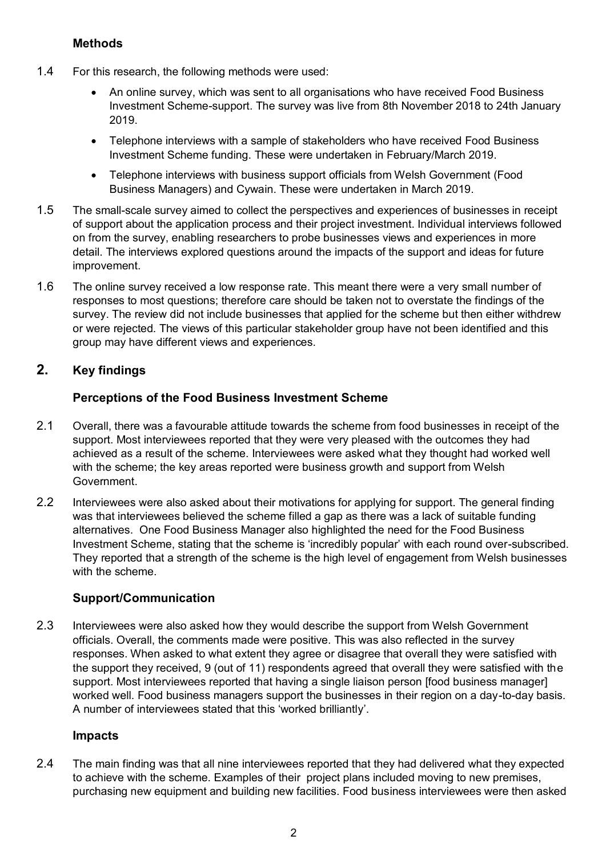## **Methods**

- 1.4 For this research, the following methods were used:
	- An online survey, which was sent to all organisations who have received Food Business Investment Scheme-support. The survey was live from 8th November 2018 to 24th January 2019.
	- Telephone interviews with a sample of stakeholders who have received Food Business Investment Scheme funding. These were undertaken in February/March 2019.
	- Telephone interviews with business support officials from Welsh Government (Food Business Managers) and Cywain. These were undertaken in March 2019.
- 1.5 The small-scale survey aimed to collect the perspectives and experiences of businesses in receipt of support about the application process and their project investment. Individual interviews followed on from the survey, enabling researchers to probe businesses views and experiences in more detail. The interviews explored questions around the impacts of the support and ideas for future improvement.
- 1.6 The online survey received a low response rate. This meant there were a very small number of responses to most questions; therefore care should be taken not to overstate the findings of the survey. The review did not include businesses that applied for the scheme but then either withdrew or were rejected. The views of this particular stakeholder group have not been identified and this group may have different views and experiences.

# **2. Key findings**

## **Perceptions of the Food Business Investment Scheme**

- 2.1 Overall, there was a favourable attitude towards the scheme from food businesses in receipt of the support. Most interviewees reported that they were very pleased with the outcomes they had achieved as a result of the scheme. Interviewees were asked what they thought had worked well with the scheme; the key areas reported were business growth and support from Welsh Government.
- 2.2 Interviewees were also asked about their motivations for applying for support. The general finding was that interviewees believed the scheme filled a gap as there was a lack of suitable funding alternatives. One Food Business Manager also highlighted the need for the Food Business Investment Scheme, stating that the scheme is 'incredibly popular' with each round over-subscribed. They reported that a strength of the scheme is the high level of engagement from Welsh businesses with the scheme.

## **Support/Communication**

2.3 Interviewees were also asked how they would describe the support from Welsh Government officials. Overall, the comments made were positive. This was also reflected in the survey responses. When asked to what extent they agree or disagree that overall they were satisfied with the support they received, 9 (out of 11) respondents agreed that overall they were satisfied with the support. Most interviewees reported that having a single liaison person [food business manager] worked well. Food business managers support the businesses in their region on a day-to-day basis. A number of interviewees stated that this 'worked brilliantly'.

#### **Impacts**

2.4 The main finding was that all nine interviewees reported that they had delivered what they expected to achieve with the scheme. Examples of their project plans included moving to new premises, purchasing new equipment and building new facilities. Food business interviewees were then asked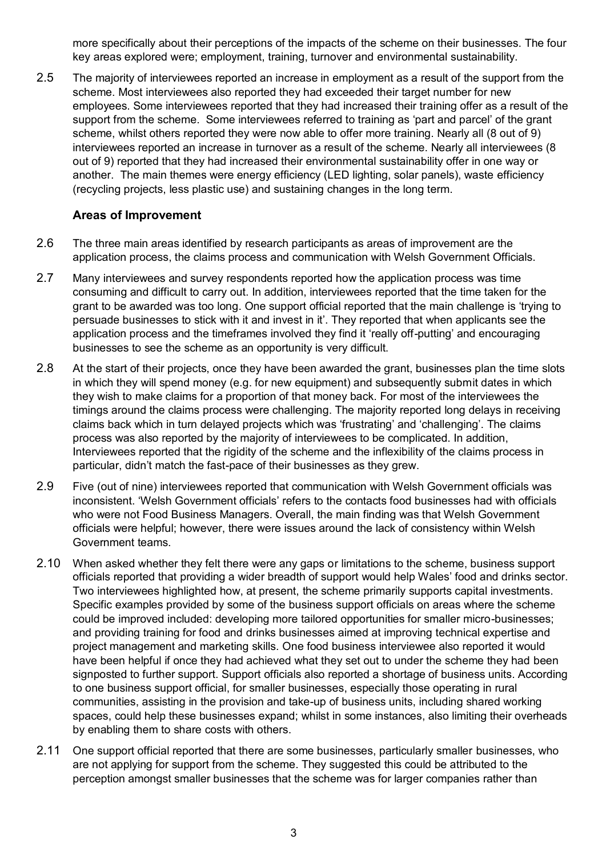more specifically about their perceptions of the impacts of the scheme on their businesses. The four key areas explored were; employment, training, turnover and environmental sustainability.

2.5 The majority of interviewees reported an increase in employment as a result of the support from the scheme. Most interviewees also reported they had exceeded their target number for new employees. Some interviewees reported that they had increased their training offer as a result of the support from the scheme. Some interviewees referred to training as 'part and parcel' of the grant scheme, whilst others reported they were now able to offer more training. Nearly all (8 out of 9) interviewees reported an increase in turnover as a result of the scheme. Nearly all interviewees (8 out of 9) reported that they had increased their environmental sustainability offer in one way or another. The main themes were energy efficiency (LED lighting, solar panels), waste efficiency (recycling projects, less plastic use) and sustaining changes in the long term.

#### **Areas of Improvement**

- 2.6 The three main areas identified by research participants as areas of improvement are the application process, the claims process and communication with Welsh Government Officials.
- 2.7 Many interviewees and survey respondents reported how the application process was time consuming and difficult to carry out. In addition, interviewees reported that the time taken for the grant to be awarded was too long. One support official reported that the main challenge is 'trying to persuade businesses to stick with it and invest in it'. They reported that when applicants see the application process and the timeframes involved they find it 'really off-putting' and encouraging businesses to see the scheme as an opportunity is very difficult.
- 2.8 At the start of their projects, once they have been awarded the grant, businesses plan the time slots in which they will spend money (e.g. for new equipment) and subsequently submit dates in which they wish to make claims for a proportion of that money back. For most of the interviewees the timings around the claims process were challenging. The majority reported long delays in receiving claims back which in turn delayed projects which was 'frustrating' and 'challenging'. The claims process was also reported by the majority of interviewees to be complicated. In addition, Interviewees reported that the rigidity of the scheme and the inflexibility of the claims process in particular, didn't match the fast-pace of their businesses as they grew.
- 2.9 Five (out of nine) interviewees reported that communication with Welsh Government officials was inconsistent. 'Welsh Government officials' refers to the contacts food businesses had with officials who were not Food Business Managers. Overall, the main finding was that Welsh Government officials were helpful; however, there were issues around the lack of consistency within Welsh Government teams.
- 2.10 When asked whether they felt there were any gaps or limitations to the scheme, business support officials reported that providing a wider breadth of support would help Wales' food and drinks sector. Two interviewees highlighted how, at present, the scheme primarily supports capital investments. Specific examples provided by some of the business support officials on areas where the scheme could be improved included: developing more tailored opportunities for smaller micro-businesses; and providing training for food and drinks businesses aimed at improving technical expertise and project management and marketing skills. One food business interviewee also reported it would have been helpful if once they had achieved what they set out to under the scheme they had been signposted to further support. Support officials also reported a shortage of business units. According to one business support official, for smaller businesses, especially those operating in rural communities, assisting in the provision and take-up of business units, including shared working spaces, could help these businesses expand; whilst in some instances, also limiting their overheads by enabling them to share costs with others.
- 2.11 One support official reported that there are some businesses, particularly smaller businesses, who are not applying for support from the scheme. They suggested this could be attributed to the perception amongst smaller businesses that the scheme was for larger companies rather than